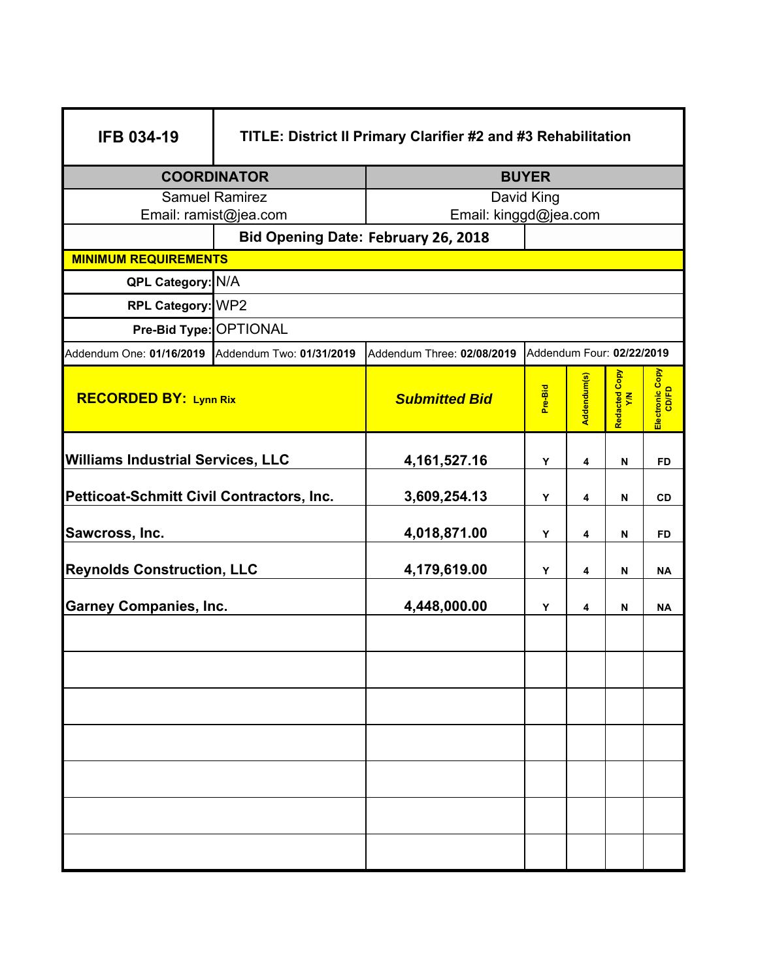| <b>IFB 034-19</b>                                 | TITLE: District II Primary Clarifier #2 and #3 Rehabilitation |                            |                           |             |                      |                          |  |  |  |  |  |
|---------------------------------------------------|---------------------------------------------------------------|----------------------------|---------------------------|-------------|----------------------|--------------------------|--|--|--|--|--|
| <b>COORDINATOR</b>                                |                                                               | <b>BUYER</b>               |                           |             |                      |                          |  |  |  |  |  |
| <b>Samuel Ramirez</b>                             |                                                               | David King                 |                           |             |                      |                          |  |  |  |  |  |
| Email: ramist@jea.com                             |                                                               | Email: kinggd@jea.com      |                           |             |                      |                          |  |  |  |  |  |
|                                                   | <b>Bid Opening Date: February 26, 2018</b>                    |                            |                           |             |                      |                          |  |  |  |  |  |
| <b>MINIMUM REQUIREMENTS</b>                       |                                                               |                            |                           |             |                      |                          |  |  |  |  |  |
| QPL Category: N/A                                 |                                                               |                            |                           |             |                      |                          |  |  |  |  |  |
| RPL Category: WP2                                 |                                                               |                            |                           |             |                      |                          |  |  |  |  |  |
| Pre-Bid Type: OPTIONAL                            |                                                               |                            |                           |             |                      |                          |  |  |  |  |  |
| Addendum One: 01/16/2019 Addendum Two: 01/31/2019 |                                                               | Addendum Three: 02/08/2019 | Addendum Four: 02/22/2019 |             |                      |                          |  |  |  |  |  |
| <b>RECORDED BY: Lynn Rix</b>                      |                                                               | <b>Submitted Bid</b>       | Pre-Bid                   | Addendum(s) | Redacted Copy<br>Y/N | Electronic Copy<br>CD/FD |  |  |  |  |  |
| <b>Williams Industrial Services, LLC</b>          |                                                               | 4, 161, 527. 16            | Y                         | 4           | N                    | <b>FD</b>                |  |  |  |  |  |
| Petticoat-Schmitt Civil Contractors, Inc.         |                                                               | 3,609,254.13               | Y                         | 4           | N                    | <b>CD</b>                |  |  |  |  |  |
| Sawcross, Inc.                                    |                                                               | 4,018,871.00               | Y                         | 4           | N                    | FD                       |  |  |  |  |  |
| <b>Reynolds Construction, LLC</b>                 |                                                               | 4,179,619.00               | Y                         | 4           | N                    | <b>NA</b>                |  |  |  |  |  |
| <b>Garney Companies, Inc.</b>                     |                                                               | 4,448,000.00               | Υ                         | 4           | N                    | <b>NA</b>                |  |  |  |  |  |
|                                                   |                                                               |                            |                           |             |                      |                          |  |  |  |  |  |
|                                                   |                                                               |                            |                           |             |                      |                          |  |  |  |  |  |
|                                                   |                                                               |                            |                           |             |                      |                          |  |  |  |  |  |
|                                                   |                                                               |                            |                           |             |                      |                          |  |  |  |  |  |
|                                                   |                                                               |                            |                           |             |                      |                          |  |  |  |  |  |
|                                                   |                                                               |                            |                           |             |                      |                          |  |  |  |  |  |
|                                                   |                                                               |                            |                           |             |                      |                          |  |  |  |  |  |